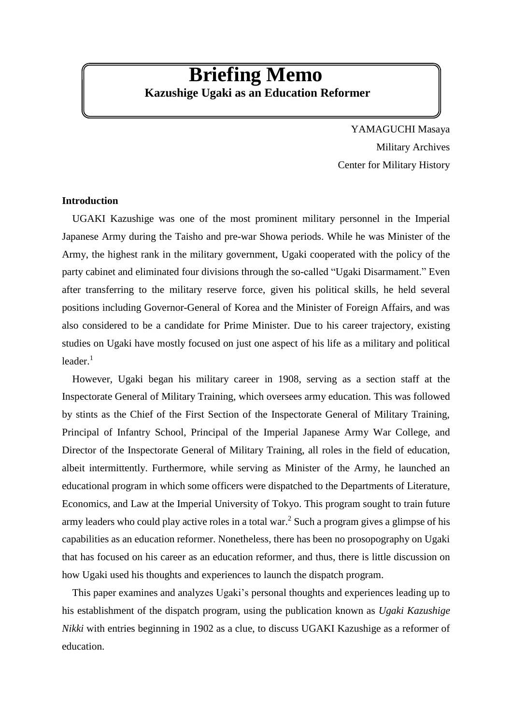# **Briefing Memo Kazushige Ugaki as an Education Reformer**

YAMAGUCHI Masaya Military Archives Center for Military History

### **Introduction**

UGAKI Kazushige was one of the most prominent military personnel in the Imperial Japanese Army during the Taisho and pre-war Showa periods. While he was Minister of the Army, the highest rank in the military government, Ugaki cooperated with the policy of the party cabinet and eliminated four divisions through the so-called "Ugaki Disarmament." Even after transferring to the military reserve force, given his political skills, he held several positions including Governor-General of Korea and the Minister of Foreign Affairs, and was also considered to be a candidate for Prime Minister. Due to his career trajectory, existing studies on Ugaki have mostly focused on just one aspect of his life as a military and political  $leader.<sup>1</sup>$ 

However, Ugaki began his military career in 1908, serving as a section staff at the Inspectorate General of Military Training, which oversees army education. This was followed by stints as the Chief of the First Section of the Inspectorate General of Military Training, Principal of Infantry School, Principal of the Imperial Japanese Army War College, and Director of the Inspectorate General of Military Training, all roles in the field of education, albeit intermittently. Furthermore, while serving as Minister of the Army, he launched an educational program in which some officers were dispatched to the Departments of Literature, Economics, and Law at the Imperial University of Tokyo. This program sought to train future army leaders who could play active roles in a total war. <sup>2</sup> Such a program gives a glimpse of his capabilities as an education reformer. Nonetheless, there has been no prosopography on Ugaki that has focused on his career as an education reformer, and thus, there is little discussion on how Ugaki used his thoughts and experiences to launch the dispatch program.

This paper examines and analyzes Ugaki's personal thoughts and experiences leading up to his establishment of the dispatch program, using the publication known as *Ugaki Kazushige Nikki* with entries beginning in 1902 as a clue, to discuss UGAKI Kazushige as a reformer of education.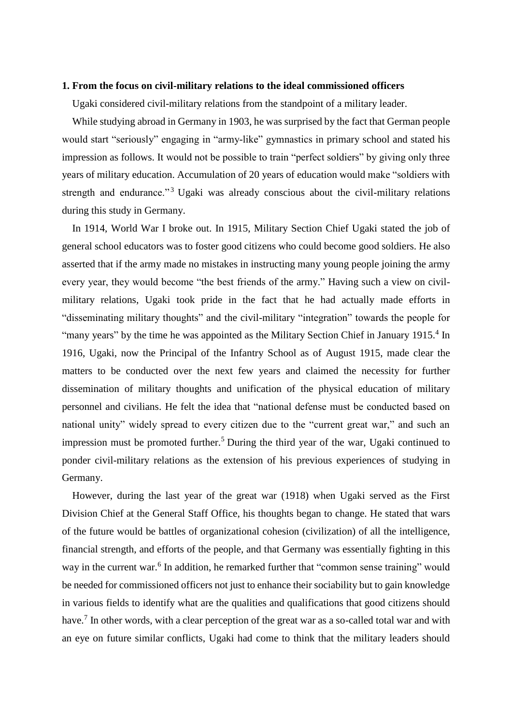#### **1. From the focus on civil-military relations to the ideal commissioned officers**

Ugaki considered civil-military relations from the standpoint of a military leader.

While studying abroad in Germany in 1903, he was surprised by the fact that German people would start "seriously" engaging in "army-like" gymnastics in primary school and stated his impression as follows. It would not be possible to train "perfect soldiers" by giving only three years of military education. Accumulation of 20 years of education would make "soldiers with strength and endurance."<sup>3</sup> Ugaki was already conscious about the civil-military relations during this study in Germany.

In 1914, World War I broke out. In 1915, Military Section Chief Ugaki stated the job of general school educators was to foster good citizens who could become good soldiers. He also asserted that if the army made no mistakes in instructing many young people joining the army every year, they would become "the best friends of the army." Having such a view on civilmilitary relations, Ugaki took pride in the fact that he had actually made efforts in "disseminating military thoughts" and the civil-military "integration" towards the people for "many years" by the time he was appointed as the Military Section Chief in January 1915.<sup>4</sup> In 1916, Ugaki, now the Principal of the Infantry School as of August 1915, made clear the matters to be conducted over the next few years and claimed the necessity for further dissemination of military thoughts and unification of the physical education of military personnel and civilians. He felt the idea that "national defense must be conducted based on national unity" widely spread to every citizen due to the "current great war," and such an impression must be promoted further.<sup>5</sup> During the third year of the war, Ugaki continued to ponder civil-military relations as the extension of his previous experiences of studying in Germany.

However, during the last year of the great war (1918) when Ugaki served as the First Division Chief at the General Staff Office, his thoughts began to change. He stated that wars of the future would be battles of organizational cohesion (civilization) of all the intelligence, financial strength, and efforts of the people, and that Germany was essentially fighting in this way in the current war.<sup>6</sup> In addition, he remarked further that "common sense training" would be needed for commissioned officers not just to enhance their sociability but to gain knowledge in various fields to identify what are the qualities and qualifications that good citizens should have.<sup>7</sup> In other words, with a clear perception of the great war as a so-called total war and with an eye on future similar conflicts, Ugaki had come to think that the military leaders should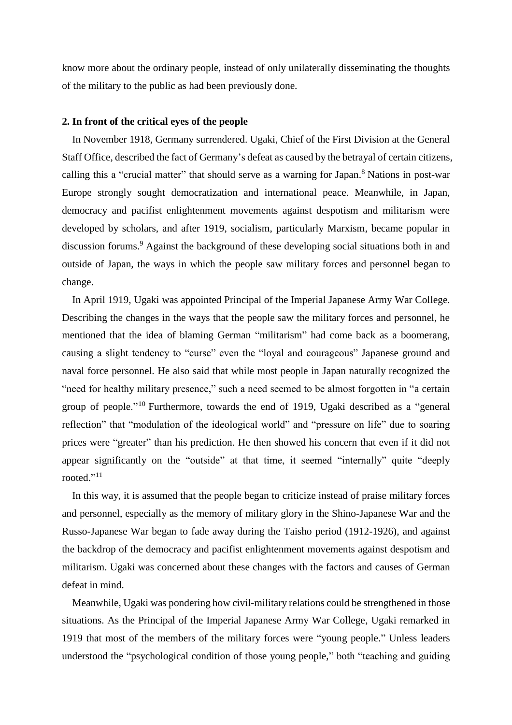know more about the ordinary people, instead of only unilaterally disseminating the thoughts of the military to the public as had been previously done.

# **2. In front of the critical eyes of the people**

In November 1918, Germany surrendered. Ugaki, Chief of the First Division at the General Staff Office, described the fact of Germany's defeat as caused by the betrayal of certain citizens, calling this a "crucial matter" that should serve as a warning for Japan. <sup>8</sup> Nations in post-war Europe strongly sought democratization and international peace. Meanwhile, in Japan, democracy and pacifist enlightenment movements against despotism and militarism were developed by scholars, and after 1919, socialism, particularly Marxism, became popular in discussion forums.<sup>9</sup> Against the background of these developing social situations both in and outside of Japan, the ways in which the people saw military forces and personnel began to change.

In April 1919, Ugaki was appointed Principal of the Imperial Japanese Army War College. Describing the changes in the ways that the people saw the military forces and personnel, he mentioned that the idea of blaming German "militarism" had come back as a boomerang, causing a slight tendency to "curse" even the "loyal and courageous" Japanese ground and naval force personnel. He also said that while most people in Japan naturally recognized the "need for healthy military presence," such a need seemed to be almost forgotten in "a certain group of people."<sup>10</sup> Furthermore, towards the end of 1919, Ugaki described as a "general reflection" that "modulation of the ideological world" and "pressure on life" due to soaring prices were "greater" than his prediction. He then showed his concern that even if it did not appear significantly on the "outside" at that time, it seemed "internally" quite "deeply rooted."<sup>11</sup>

In this way, it is assumed that the people began to criticize instead of praise military forces and personnel, especially as the memory of military glory in the Shino-Japanese War and the Russo-Japanese War began to fade away during the Taisho period (1912-1926), and against the backdrop of the democracy and pacifist enlightenment movements against despotism and militarism. Ugaki was concerned about these changes with the factors and causes of German defeat in mind.

Meanwhile, Ugaki was pondering how civil-military relations could be strengthened in those situations. As the Principal of the Imperial Japanese Army War College, Ugaki remarked in 1919 that most of the members of the military forces were "young people." Unless leaders understood the "psychological condition of those young people," both "teaching and guiding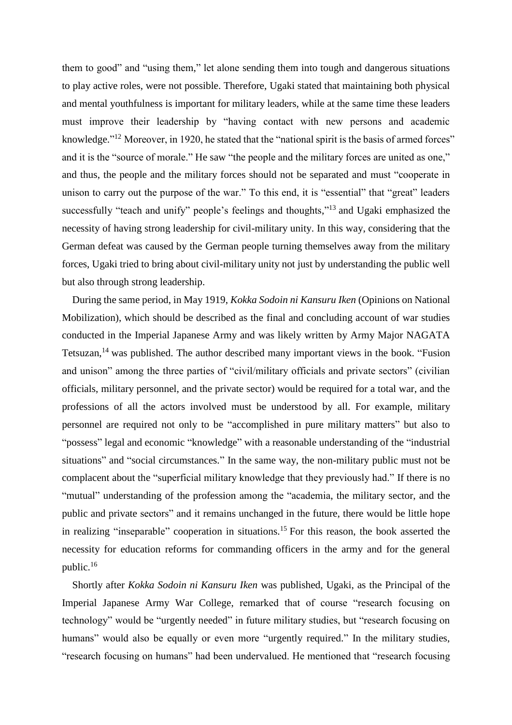them to good" and "using them," let alone sending them into tough and dangerous situations to play active roles, were not possible. Therefore, Ugaki stated that maintaining both physical and mental youthfulness is important for military leaders, while at the same time these leaders must improve their leadership by "having contact with new persons and academic knowledge."<sup>12</sup> Moreover, in 1920, he stated that the "national spirit is the basis of armed forces" and it is the "source of morale." He saw "the people and the military forces are united as one," and thus, the people and the military forces should not be separated and must "cooperate in unison to carry out the purpose of the war." To this end, it is "essential" that "great" leaders successfully "teach and unify" people's feelings and thoughts,"<sup>13</sup> and Ugaki emphasized the necessity of having strong leadership for civil-military unity. In this way, considering that the German defeat was caused by the German people turning themselves away from the military forces, Ugaki tried to bring about civil-military unity not just by understanding the public well but also through strong leadership.

During the same period, in May 1919, *Kokka Sodoin ni Kansuru Iken* (Opinions on National Mobilization), which should be described as the final and concluding account of war studies conducted in the Imperial Japanese Army and was likely written by Army Major NAGATA Tetsuzan,<sup>14</sup> was published. The author described many important views in the book. "Fusion" and unison" among the three parties of "civil/military officials and private sectors" (civilian officials, military personnel, and the private sector) would be required for a total war, and the professions of all the actors involved must be understood by all. For example, military personnel are required not only to be "accomplished in pure military matters" but also to "possess" legal and economic "knowledge" with a reasonable understanding of the "industrial situations" and "social circumstances." In the same way, the non-military public must not be complacent about the "superficial military knowledge that they previously had." If there is no "mutual" understanding of the profession among the "academia, the military sector, and the public and private sectors" and it remains unchanged in the future, there would be little hope in realizing "inseparable" cooperation in situations.<sup>15</sup> For this reason, the book asserted the necessity for education reforms for commanding officers in the army and for the general public. 16

Shortly after *Kokka Sodoin ni Kansuru Iken* was published, Ugaki, as the Principal of the Imperial Japanese Army War College, remarked that of course "research focusing on technology" would be "urgently needed" in future military studies, but "research focusing on humans" would also be equally or even more "urgently required." In the military studies, "research focusing on humans" had been undervalued. He mentioned that "research focusing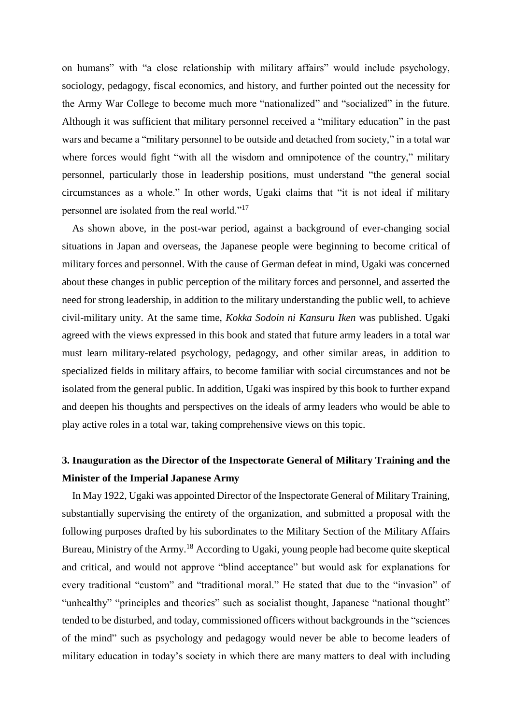on humans" with "a close relationship with military affairs" would include psychology, sociology, pedagogy, fiscal economics, and history, and further pointed out the necessity for the Army War College to become much more "nationalized" and "socialized" in the future. Although it was sufficient that military personnel received a "military education" in the past wars and became a "military personnel to be outside and detached from society," in a total war where forces would fight "with all the wisdom and omnipotence of the country," military personnel, particularly those in leadership positions, must understand "the general social circumstances as a whole." In other words, Ugaki claims that "it is not ideal if military personnel are isolated from the real world."<sup>17</sup>

As shown above, in the post-war period, against a background of ever-changing social situations in Japan and overseas, the Japanese people were beginning to become critical of military forces and personnel. With the cause of German defeat in mind, Ugaki was concerned about these changes in public perception of the military forces and personnel, and asserted the need for strong leadership, in addition to the military understanding the public well, to achieve civil-military unity. At the same time, *Kokka Sodoin ni Kansuru Iken* was published. Ugaki agreed with the views expressed in this book and stated that future army leaders in a total war must learn military-related psychology, pedagogy, and other similar areas, in addition to specialized fields in military affairs, to become familiar with social circumstances and not be isolated from the general public. In addition, Ugaki was inspired by this book to further expand and deepen his thoughts and perspectives on the ideals of army leaders who would be able to play active roles in a total war, taking comprehensive views on this topic.

# **3. Inauguration as the Director of the Inspectorate General of Military Training and the Minister of the Imperial Japanese Army**

In May 1922, Ugaki was appointed Director of the Inspectorate General of Military Training, substantially supervising the entirety of the organization, and submitted a proposal with the following purposes drafted by his subordinates to the Military Section of the Military Affairs Bureau, Ministry of the Army.<sup>18</sup> According to Ugaki, young people had become quite skeptical and critical, and would not approve "blind acceptance" but would ask for explanations for every traditional "custom" and "traditional moral." He stated that due to the "invasion" of "unhealthy" "principles and theories" such as socialist thought, Japanese "national thought" tended to be disturbed, and today, commissioned officers without backgrounds in the "sciences of the mind" such as psychology and pedagogy would never be able to become leaders of military education in today's society in which there are many matters to deal with including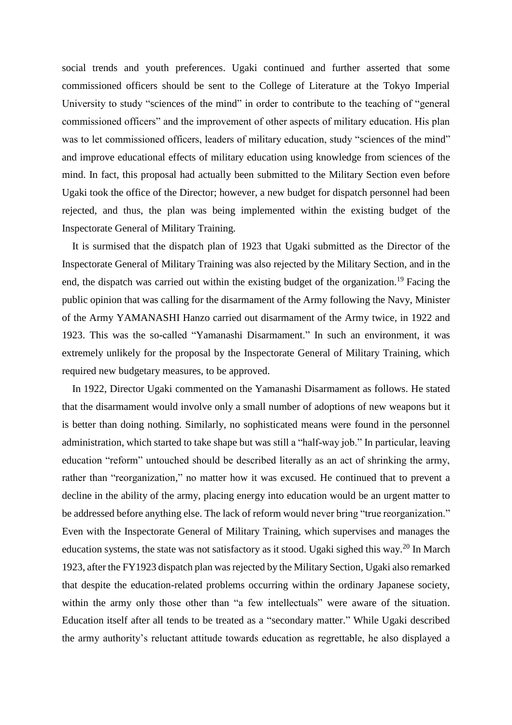social trends and youth preferences. Ugaki continued and further asserted that some commissioned officers should be sent to the College of Literature at the Tokyo Imperial University to study "sciences of the mind" in order to contribute to the teaching of "general" commissioned officers" and the improvement of other aspects of military education. His plan was to let commissioned officers, leaders of military education, study "sciences of the mind" and improve educational effects of military education using knowledge from sciences of the mind. In fact, this proposal had actually been submitted to the Military Section even before Ugaki took the office of the Director; however, a new budget for dispatch personnel had been rejected, and thus, the plan was being implemented within the existing budget of the Inspectorate General of Military Training.

It is surmised that the dispatch plan of 1923 that Ugaki submitted as the Director of the Inspectorate General of Military Training was also rejected by the Military Section, and in the end, the dispatch was carried out within the existing budget of the organization.<sup>19</sup> Facing the public opinion that was calling for the disarmament of the Army following the Navy, Minister of the Army YAMANASHI Hanzo carried out disarmament of the Army twice, in 1922 and 1923. This was the so-called "Yamanashi Disarmament." In such an environment, it was extremely unlikely for the proposal by the Inspectorate General of Military Training, which required new budgetary measures, to be approved.

In 1922, Director Ugaki commented on the Yamanashi Disarmament as follows. He stated that the disarmament would involve only a small number of adoptions of new weapons but it is better than doing nothing. Similarly, no sophisticated means were found in the personnel administration, which started to take shape but was still a "half-way job." In particular, leaving education "reform" untouched should be described literally as an act of shrinking the army, rather than "reorganization," no matter how it was excused. He continued that to prevent a decline in the ability of the army, placing energy into education would be an urgent matter to be addressed before anything else. The lack of reform would never bring "true reorganization." Even with the Inspectorate General of Military Training, which supervises and manages the education systems, the state was not satisfactory as it stood. Ugaki sighed this way.<sup>20</sup> In March 1923, after the FY1923 dispatch plan was rejected by the Military Section, Ugaki also remarked that despite the education-related problems occurring within the ordinary Japanese society, within the army only those other than "a few intellectuals" were aware of the situation. Education itself after all tends to be treated as a "secondary matter." While Ugaki described the army authority's reluctant attitude towards education as regrettable, he also displayed a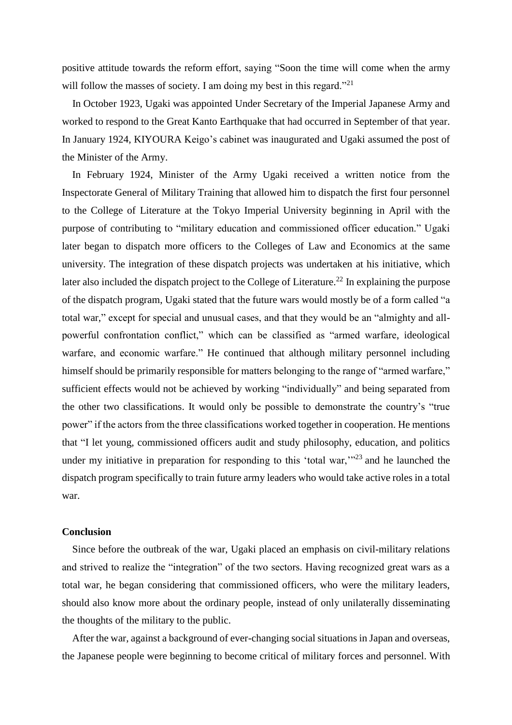positive attitude towards the reform effort, saying "Soon the time will come when the army will follow the masses of society. I am doing my best in this regard."<sup>21</sup>

In October 1923, Ugaki was appointed Under Secretary of the Imperial Japanese Army and worked to respond to the Great Kanto Earthquake that had occurred in September of that year. In January 1924, KIYOURA Keigo's cabinet was inaugurated and Ugaki assumed the post of the Minister of the Army.

In February 1924, Minister of the Army Ugaki received a written notice from the Inspectorate General of Military Training that allowed him to dispatch the first four personnel to the College of Literature at the Tokyo Imperial University beginning in April with the purpose of contributing to "military education and commissioned officer education." Ugaki later began to dispatch more officers to the Colleges of Law and Economics at the same university. The integration of these dispatch projects was undertaken at his initiative, which later also included the dispatch project to the College of Literature.<sup>22</sup> In explaining the purpose of the dispatch program, Ugaki stated that the future wars would mostly be of a form called "a total war," except for special and unusual cases, and that they would be an "almighty and allpowerful confrontation conflict," which can be classified as "armed warfare, ideological warfare, and economic warfare." He continued that although military personnel including himself should be primarily responsible for matters belonging to the range of "armed warfare," sufficient effects would not be achieved by working "individually" and being separated from the other two classifications. It would only be possible to demonstrate the country's "true power" if the actors from the three classifications worked together in cooperation. He mentions that "I let young, commissioned officers audit and study philosophy, education, and politics under my initiative in preparation for responding to this 'total war,"<sup>23</sup> and he launched the dispatch program specifically to train future army leaders who would take active roles in a total war.

## **Conclusion**

Since before the outbreak of the war, Ugaki placed an emphasis on civil-military relations and strived to realize the "integration" of the two sectors. Having recognized great wars as a total war, he began considering that commissioned officers, who were the military leaders, should also know more about the ordinary people, instead of only unilaterally disseminating the thoughts of the military to the public.

After the war, against a background of ever-changing social situations in Japan and overseas, the Japanese people were beginning to become critical of military forces and personnel. With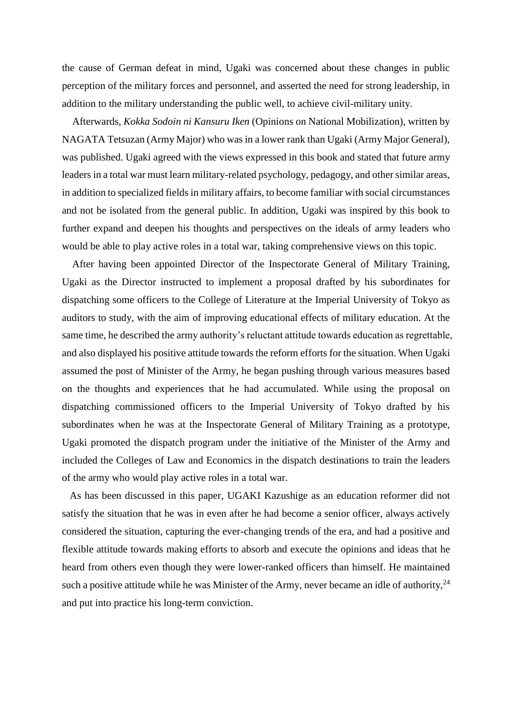the cause of German defeat in mind, Ugaki was concerned about these changes in public perception of the military forces and personnel, and asserted the need for strong leadership, in addition to the military understanding the public well, to achieve civil-military unity.

Afterwards, *Kokka Sodoin ni Kansuru Iken* (Opinions on National Mobilization), written by NAGATA Tetsuzan (Army Major) who was in a lower rank than Ugaki (Army Major General), was published. Ugaki agreed with the views expressed in this book and stated that future army leaders in a total war must learn military-related psychology, pedagogy, and other similar areas, in addition to specialized fields in military affairs, to become familiar with social circumstances and not be isolated from the general public. In addition, Ugaki was inspired by this book to further expand and deepen his thoughts and perspectives on the ideals of army leaders who would be able to play active roles in a total war, taking comprehensive views on this topic.

After having been appointed Director of the Inspectorate General of Military Training, Ugaki as the Director instructed to implement a proposal drafted by his subordinates for dispatching some officers to the College of Literature at the Imperial University of Tokyo as auditors to study, with the aim of improving educational effects of military education. At the same time, he described the army authority's reluctant attitude towards education as regrettable, and also displayed his positive attitude towards the reform efforts for the situation. When Ugaki assumed the post of Minister of the Army, he began pushing through various measures based on the thoughts and experiences that he had accumulated. While using the proposal on dispatching commissioned officers to the Imperial University of Tokyo drafted by his subordinates when he was at the Inspectorate General of Military Training as a prototype, Ugaki promoted the dispatch program under the initiative of the Minister of the Army and included the Colleges of Law and Economics in the dispatch destinations to train the leaders of the army who would play active roles in a total war.

 As has been discussed in this paper, UGAKI Kazushige as an education reformer did not satisfy the situation that he was in even after he had become a senior officer, always actively considered the situation, capturing the ever-changing trends of the era, and had a positive and flexible attitude towards making efforts to absorb and execute the opinions and ideas that he heard from others even though they were lower-ranked officers than himself. He maintained such a positive attitude while he was Minister of the Army, never became an idle of authority,  $24$ and put into practice his long-term conviction.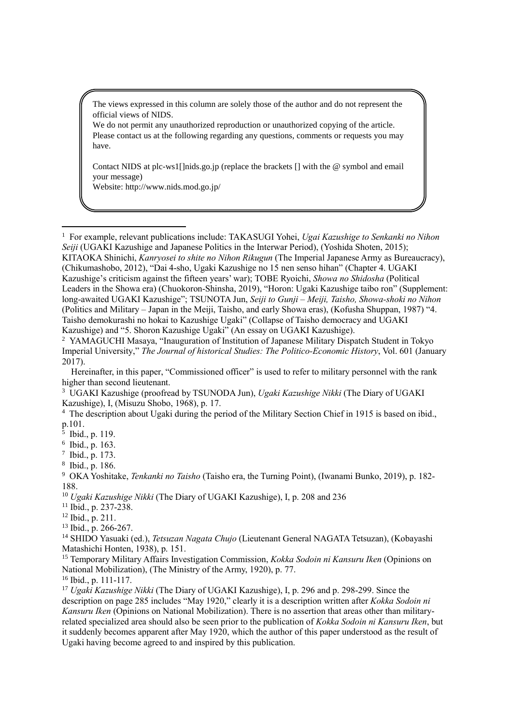The views expressed in this column are solely those of the author and do not represent the official views of NIDS.

We do not permit any unauthorized reproduction or unauthorized copying of the article. Please contact us at the following regarding any questions, comments or requests you may have.

Contact NIDS at plc-ws1[]nids.go.jp (replace the brackets [] with the @ symbol and email your message)

Website: http://www.nids.mod.go.jp/

1 For example, relevant publications include: TAKASUGI Yohei, *Ugai Kazushige to Senkanki no Nihon Seiji* (UGAKI Kazushige and Japanese Politics in the Interwar Period), (Yoshida Shoten, 2015); KITAOKA Shinichi, *Kanryosei to shite no Nihon Rikugun* (The Imperial Japanese Army as Bureaucracy), (Chikumashobo, 2012), "Dai 4-sho, Ugaki Kazushige no 15 nen senso hihan" (Chapter 4. UGAKI Kazushige's criticism against the fifteen years' war); TOBE Ryoichi, *Showa no Shidosha* (Political Leaders in the Showa era) (Chuokoron-Shinsha, 2019), "Horon: Ugaki Kazushige taibo ron" (Supplement: long-awaited UGAKI Kazushige"; TSUNOTA Jun, *Seiji to Gunji – Meiji, Taisho, Showa-shoki no Nihon* (Politics and Military – Japan in the Meiji, Taisho, and early Showa eras), (Kofusha Shuppan, 1987) "4. Taisho demokurashi no hokai to Kazushige Ugaki" (Collapse of Taisho democracy and UGAKI Kazushige) and "5. Shoron Kazushige Ugaki" (An essay on UGAKI Kazushige).

- <sup>4</sup> The description about Ugaki during the period of the Military Section Chief in 1915 is based on ibid., p.101.
- 5 Ibid., p. 119.

l

<sup>13</sup> Ibid., p. 266-267.

<sup>14</sup> SHIDO Yasuaki (ed.), *Tetsuzan Nagata Chujo* (Lieutenant General NAGATA Tetsuzan), (Kobayashi Matashichi Honten, 1938), p. 151.

<sup>15</sup> Temporary Military Affairs Investigation Commission, *Kokka Sodoin ni Kansuru Iken* (Opinions on National Mobilization), (The Ministry of the Army, 1920), p. 77.

<sup>16</sup> Ibid., p. 111-117.

<sup>17</sup> *Ugaki Kazushige Nikki* (The Diary of UGAKI Kazushige), I, p. 296 and p. 298-299. Since the description on page 285 includes "May 1920," clearly it is a description written after *Kokka Sodoin ni Kansuru Iken* (Opinions on National Mobilization). There is no assertion that areas other than militaryrelated specialized area should also be seen prior to the publication of *Kokka Sodoin ni Kansuru Iken*, but it suddenly becomes apparent after May 1920, which the author of this paper understood as the result of Ugaki having become agreed to and inspired by this publication.

<sup>&</sup>lt;sup>2</sup> YAMAGUCHI Masaya, "Inauguration of Institution of Japanese Military Dispatch Student in Tokyo Imperial University," *The Journal of historical Studies: The Politico-Economic History*, Vol. 601 (January 2017).

Hereinafter, in this paper, "Commissioned officer" is used to refer to military personnel with the rank higher than second lieutenant.

<sup>3</sup> UGAKI Kazushige (proofread by TSUNODA Jun), *Ugaki Kazushige Nikki* (The Diary of UGAKI Kazushige), I, (Misuzu Shobo, 1968), p. 17.

<sup>6</sup> Ibid., p. 163.

<sup>7</sup> Ibid., p. 173.

<sup>8</sup> Ibid., p. 186.

<sup>9</sup> OKA Yoshitake, *Tenkanki no Taisho* (Taisho era, the Turning Point), (Iwanami Bunko, 2019), p. 182- 188.

<sup>10</sup> *Ugaki Kazushige Nikki* (The Diary of UGAKI Kazushige), I, p. 208 and 236

<sup>11</sup> Ibid., p. 237-238.

<sup>12</sup> Ibid., p. 211.